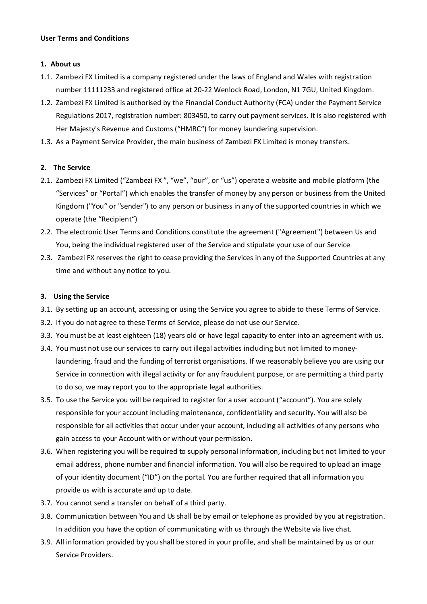### User Terms and Conditions

## 1. About us

- 1.1. Zambezi FX Limited is a company registered under the laws of England and Wales with registration number 11111233 and registered office at 20-22 Wenlock Road, London, N1 7GU, United Kingdom.
- 1.2. Zambezi FX Limited is authorised by the Financial Conduct Authority (FCA) under the Payment Service Regulations 2017, registration number: 803450, to carry out payment services. It is also registered with Her Majesty's Revenue and Customs ("HMRC") for money laundering supervision.
- 1.3. As a Payment Service Provider, the main business of Zambezi FX Limited is money transfers.

# 2. The Service

- 2.1. Zambezi FX Limited ("Zambezi FX ", "we", "our", or "us") operate a website and mobile platform (the "Services" or "Portal") which enables the transfer of money by any person or business from the United Kingdom ("You" or "sender") to any person or business in any of the supported countries in which we operate (the "Recipient")
- 2.2. The electronic User Terms and Conditions constitute the agreement ("Agreement") between Us and You, being the individual registered user of the Service and stipulate your use of our Service
- 2.3. Zambezi FX reserves the right to cease providing the Services in any of the Supported Countries at any time and without any notice to you.

# 3. Using the Service

- 3.1. By setting up an account, accessing or using the Service you agree to abide to these Terms of Service.
- 3.2. If you do not agree to these Terms of Service, please do not use our Service.
- 3.3. You must be at least eighteen (18) years old or have legal capacity to enter into an agreement with us.
- 3.4. You must not use our services to carry out illegal activities including but not limited to moneylaundering, fraud and the funding of terrorist organisations. If we reasonably believe you are using our Service in connection with illegal activity or for any fraudulent purpose, or are permitting a third party to do so, we may report you to the appropriate legal authorities.
- 3.5. To use the Service you will be required to register for a user account ("account"). You are solely responsible for your account including maintenance, confidentiality and security. You will also be responsible for all activities that occur under your account, including all activities of any persons who gain access to your Account with or without your permission.
- 3.6. When registering you will be required to supply personal information, including but not limited to your email address, phone number and financial information. You will also be required to upload an image of your identity document ("ID") on the portal. You are further required that all information you provide us with is accurate and up to date.
- 3.7. You cannot send a transfer on behalf of a third party.
- 3.8. Communication between You and Us shall be by email or telephone as provided by you at registration. In addition you have the option of communicating with us through the Website via live chat.
- 3.9. All information provided by you shall be stored in your profile, and shall be maintained by us or our Service Providers.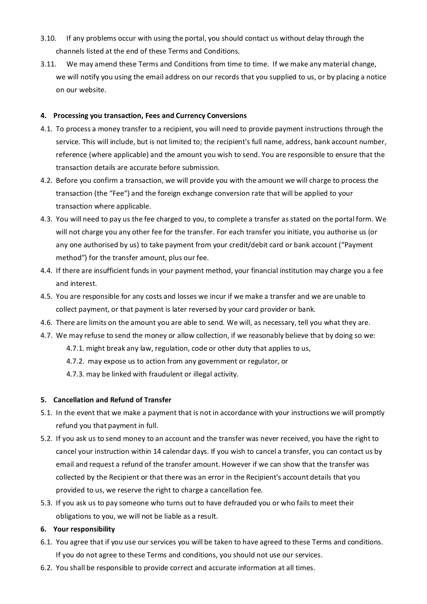- 3.10. If any problems occur with using the portal, you should contact us without delay through the channels listed at the end of these Terms and Conditions.
- 3.11. We may amend these Terms and Conditions from time to time. If we make any material change, we will notify you using the email address on our records that you supplied to us, or by placing a notice on our website.

## 4. Processing you transaction, Fees and Currency Conversions

- 4.1. To process a money transfer to a recipient, you will need to provide payment instructions through the service. This will include, but is not limited to; the recipient's full name, address, bank account number, reference (where applicable) and the amount you wish to send. You are responsible to ensure that the transaction details are accurate before submission.
- 4.2. Before you confirm a transaction, we will provide you with the amount we will charge to process the transaction (the "Fee") and the foreign exchange conversion rate that will be applied to your transaction where applicable.
- 4.3. You will need to pay us the fee charged to you, to complete a transfer as stated on the portal form. We will not charge you any other fee for the transfer. For each transfer you initiate, you authorise us (or any one authorised by us) to take payment from your credit/debit card or bank account ("Payment method") for the transfer amount, plus our fee.
- 4.4. If there are insufficient funds in your payment method, your financial institution may charge you a fee and interest.
- 4.5. You are responsible for any costs and losses we incur if we make a transfer and we are unable to collect payment, or that payment is later reversed by your card provider or bank.
- 4.6. There are limits on the amount you are able to send. We will, as necessary, tell you what they are.
- 4.7. We may refuse to send the money or allow collection, if we reasonably believe that by doing so we:
	- 4.7.1. might break any law, regulation, code or other duty that applies to us,
	- 4.7.2. may expose us to action from any government or regulator, or
	- 4.7.3. may be linked with fraudulent or illegal activity.

# 5. Cancellation and Refund of Transfer

- 5.1. In the event that we make a payment that is not in accordance with your instructions we will promptly refund you that payment in full.
- 5.2. If you ask us to send money to an account and the transfer was never received, you have the right to cancel your instruction within 14 calendar days. If you wish to cancel a transfer, you can contact us by email and request a refund of the transfer amount. However if we can show that the transfer was collected by the Recipient or that there was an error in the Recipient's account details that you provided to us, we reserve the right to charge a cancellation fee.
- 5.3. If you ask us to pay someone who turns out to have defrauded you or who fails to meet their obligations to you, we will not be liable as a result.

### 6. Your responsibility

- 6.1. You agree that if you use our services you will be taken to have agreed to these Terms and conditions. If you do not agree to these Terms and conditions, you should not use our services.
- 6.2. You shall be responsible to provide correct and accurate information at all times.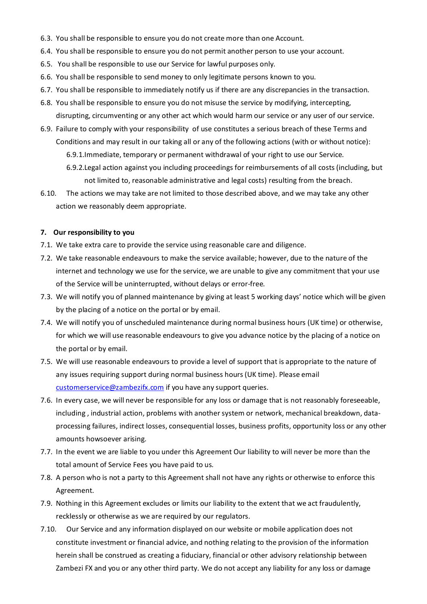- 6.3. You shall be responsible to ensure you do not create more than one Account.
- 6.4. You shall be responsible to ensure you do not permit another person to use your account.
- 6.5. You shall be responsible to use our Service for lawful purposes only.
- 6.6. You shall be responsible to send money to only legitimate persons known to you.
- 6.7. You shall be responsible to immediately notify us if there are any discrepancies in the transaction.
- 6.8. You shall be responsible to ensure you do not misuse the service by modifying, intercepting, disrupting, circumventing or any other act which would harm our service or any user of our service.
- 6.9. Failure to comply with your responsibility of use constitutes a serious breach of these Terms and Conditions and may result in our taking all or any of the following actions (with or without notice):
	- 6.9.1.Immediate, temporary or permanent withdrawal of your right to use our Service.
	- 6.9.2.Legal action against you including proceedings for reimbursements of all costs (including, but not limited to, reasonable administrative and legal costs) resulting from the breach.
- 6.10. The actions we may take are not limited to those described above, and we may take any other action we reasonably deem appropriate.

#### 7. Our responsibility to you

- 7.1. We take extra care to provide the service using reasonable care and diligence.
- 7.2. We take reasonable endeavours to make the service available; however, due to the nature of the internet and technology we use for the service, we are unable to give any commitment that your use of the Service will be uninterrupted, without delays or error-free.
- 7.3. We will notify you of planned maintenance by giving at least 5 working days' notice which will be given by the placing of a notice on the portal or by email.
- 7.4. We will notify you of unscheduled maintenance during normal business hours (UK time) or otherwise, for which we will use reasonable endeavours to give you advance notice by the placing of a notice on the portal or by email.
- 7.5. We will use reasonable endeavours to provide a level of support that is appropriate to the nature of any issues requiring support during normal business hours (UK time). Please email customerservice@zambezifx.com if you have any support queries.
- 7.6. In every case, we will never be responsible for any loss or damage that is not reasonably foreseeable, including , industrial action, problems with another system or network, mechanical breakdown, dataprocessing failures, indirect losses, consequential losses, business profits, opportunity loss or any other amounts howsoever arising.
- 7.7. In the event we are liable to you under this Agreement Our liability to will never be more than the total amount of Service Fees you have paid to us.
- 7.8. A person who is not a party to this Agreement shall not have any rights or otherwise to enforce this Agreement.
- 7.9. Nothing in this Agreement excludes or limits our liability to the extent that we act fraudulently, recklessly or otherwise as we are required by our regulators.
- 7.10. Our Service and any information displayed on our website or mobile application does not constitute investment or financial advice, and nothing relating to the provision of the information herein shall be construed as creating a fiduciary, financial or other advisory relationship between Zambezi FX and you or any other third party. We do not accept any liability for any loss or damage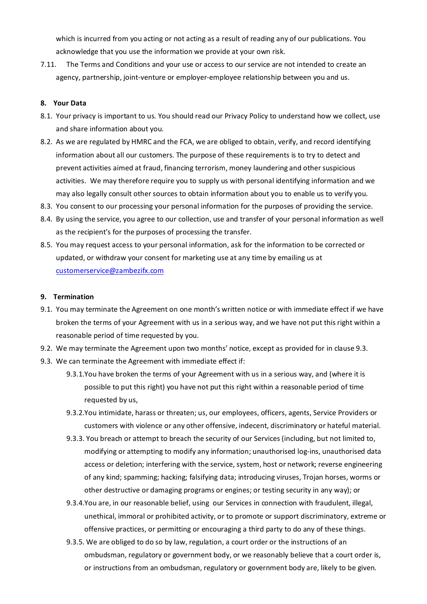which is incurred from you acting or not acting as a result of reading any of our publications. You acknowledge that you use the information we provide at your own risk.

7.11. The Terms and Conditions and your use or access to our service are not intended to create an agency, partnership, joint-venture or employer-employee relationship between you and us.

## 8. Your Data

- 8.1. Your privacy is important to us. You should read our Privacy Policy to understand how we collect, use and share information about you.
- 8.2. As we are regulated by HMRC and the FCA, we are obliged to obtain, verify, and record identifying information about all our customers. The purpose of these requirements is to try to detect and prevent activities aimed at fraud, financing terrorism, money laundering and other suspicious activities. We may therefore require you to supply us with personal identifying information and we may also legally consult other sources to obtain information about you to enable us to verify you.
- 8.3. You consent to our processing your personal information for the purposes of providing the service.
- 8.4. By using the service, you agree to our collection, use and transfer of your personal information as well as the recipient's for the purposes of processing the transfer.
- 8.5. You may request access to your personal information, ask for the information to be corrected or updated, or withdraw your consent for marketing use at any time by emailing us at customerservice@zambezifx.com

## 9. Termination

- 9.1. You may terminate the Agreement on one month's written notice or with immediate effect if we have broken the terms of your Agreement with us in a serious way, and we have not put this right within a reasonable period of time requested by you.
- 9.2. We may terminate the Agreement upon two months' notice, except as provided for in clause 9.3.
- 9.3. We can terminate the Agreement with immediate effect if:
	- 9.3.1.You have broken the terms of your Agreement with us in a serious way, and (where it is possible to put this right) you have not put this right within a reasonable period of time requested by us,
	- 9.3.2.You intimidate, harass or threaten; us, our employees, officers, agents, Service Providers or customers with violence or any other offensive, indecent, discriminatory or hateful material.
	- 9.3.3. You breach or attempt to breach the security of our Services (including, but not limited to, modifying or attempting to modify any information; unauthorised log-ins, unauthorised data access or deletion; interfering with the service, system, host or network; reverse engineering of any kind; spamming; hacking; falsifying data; introducing viruses, Trojan horses, worms or other destructive or damaging programs or engines; or testing security in any way); or
	- 9.3.4.You are, in our reasonable belief, using our Services in connection with fraudulent, illegal, unethical, immoral or prohibited activity, or to promote or support discriminatory, extreme or offensive practices, or permitting or encouraging a third party to do any of these things.
	- 9.3.5. We are obliged to do so by law, regulation, a court order or the instructions of an ombudsman, regulatory or government body, or we reasonably believe that a court order is, or instructions from an ombudsman, regulatory or government body are, likely to be given.